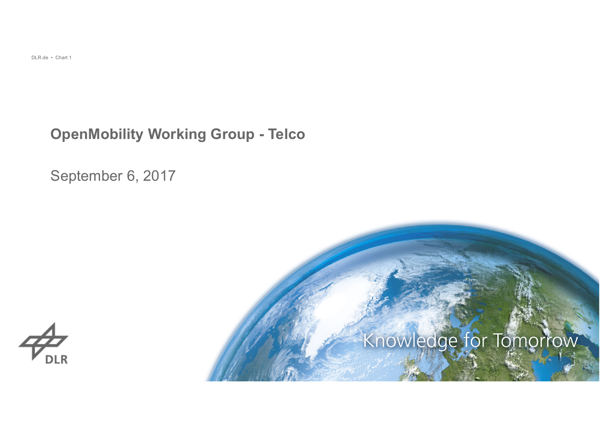#### **OpenMobility Working Group - Telco**

September 6, 2017



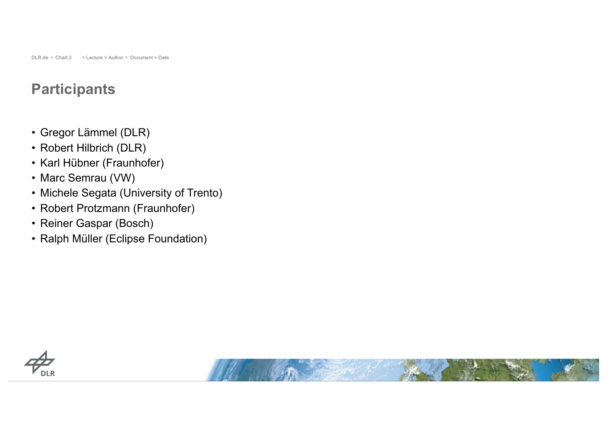#### **Participants**

- Gregor Lämmel (DLR)
- Robert Hilbrich (DLR)
- Karl Hübner (Fraunhofer)
- Marc Semrau (VW)
- Michele Segata (University of Trento)
- Robert Protzmann (Fraunhofer)
- Reiner Gaspar (Bosch)
- Ralph Müller (Eclipse Foundation)



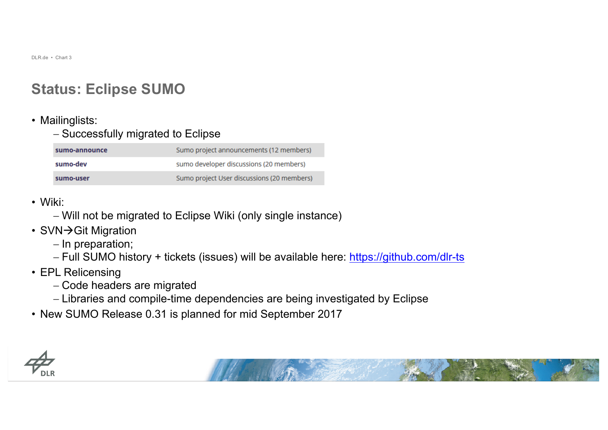### **Status: Eclipse SUMO**

#### • Mailinglists:

- Successfully migrated to Eclipse

| sumo-announce | Sumo project announcements (12 members)    |
|---------------|--------------------------------------------|
| sumo-dev      | sumo developer discussions (20 members)    |
| sumo-user     | Sumo project User discussions (20 members) |

- Wiki:
	- Will not be migrated to Eclipse Wiki (only single instance)
- SVN $\rightarrow$ Git Migration
	- In preparation;
	- Full SUMO history + tickets (issues) will be available here: https://github.com/dlr-ts
- EPL Relicensing
	- Code headers are migrated
	- Libraries and compile-time dependencies are being investigated by Eclipse
- New SUMO Release 0.31 is planned for mid September 2017



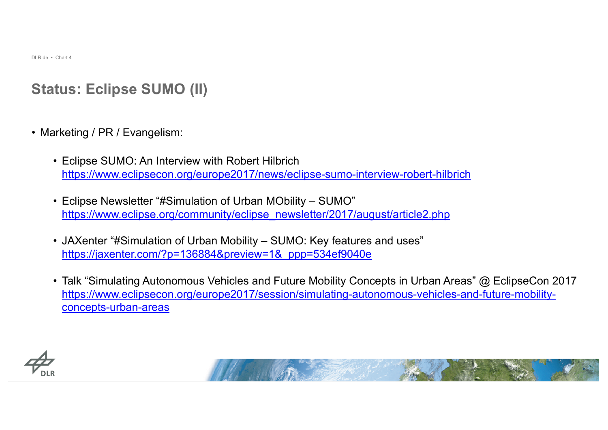# **Status: Eclipse SUMO (II)**

- Marketing / PR / Evangelism:
	- Eclipse SUMO: An Interview with Robert Hilbrich https://www.eclipsecon.org/europe2017/news/eclipse-sumo-interview-robert-hilbrich
	- Eclipse Newsletter "#Simulation of Urban MObility SUMO" https://www.eclipse.org/community/eclipse\_newsletter/2017/august/article2.php
	- JAXenter "#Simulation of Urban Mobility SUMO: Key features and uses" https://jaxenter.com/?p=136884&preview=1&\_ppp=534ef9040e
	- Talk "Simulating Autonomous Vehicles and Future Mobility Concepts in Urban Areas" @ EclipseCon 2017 https://www.eclipsecon.org/europe2017/session/simulating-autonomous-vehicles-and-future-mobilityconcepts-urban-areas



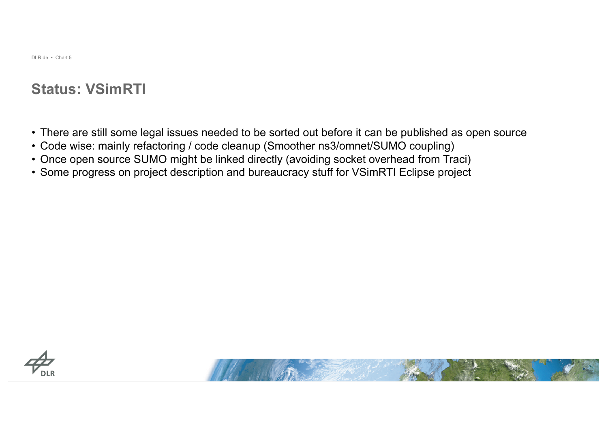#### **Status: VSimRTI**

- There are still some legal issues needed to be sorted out before it can be published as open source
- Code wise: mainly refactoring / code cleanup (Smoother ns3/omnet/SUMO coupling)
- Once open source SUMO might be linked directly (avoiding socket overhead from Traci)
- Some progress on project description and bureaucracy stuff for VSimRTI Eclipse project



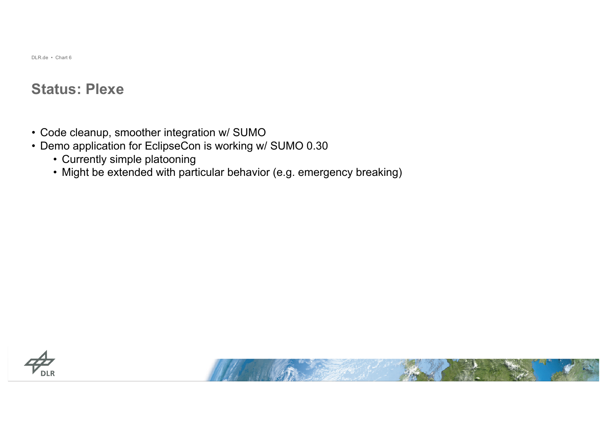#### **Status: Plexe**

- Code cleanup, smoother integration w/ SUMO
- Demo application for EclipseCon is working w/ SUMO 0.30
	- Currently simple platooning
	- Might be extended with particular behavior (e.g. emergency breaking)



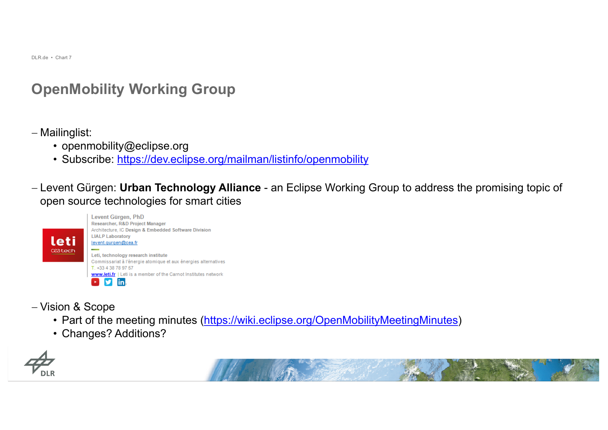# **OpenMobility Working Group**

- Mailinglist:

- openmobility@eclipse.org
- Subscribe: https://dev.eclipse.org/mailman/listinfo/openmobility

- Levent Gürgen: **Urban Technology Alliance** - an Eclipse Working Group to address the promising topic of open source technologies for smart cities



- Vision & Scope
	- Part of the meeting minutes (https://wiki.eclipse.org/OpenMobilityMeetingMinutes)
	- Changes? Additions?



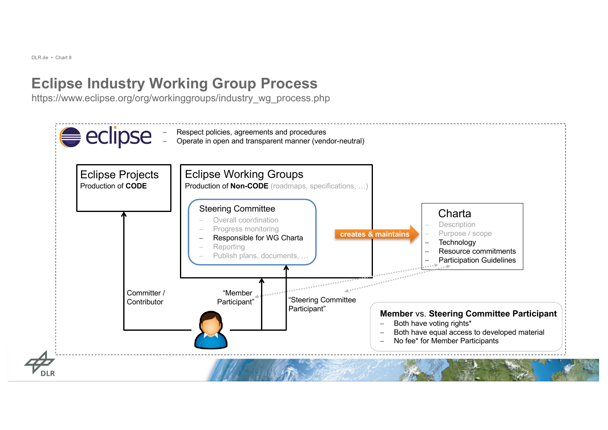# **Eclipse Industry Working Group Process**

https://www.eclipse.org/org/workinggroups/industry\_wg\_process.php

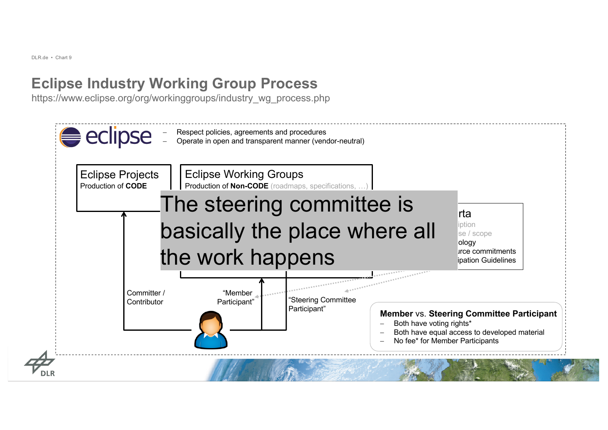# **Eclipse Industry Working Group Process**

https://www.eclipse.org/org/workinggroups/industry\_wg\_process.php

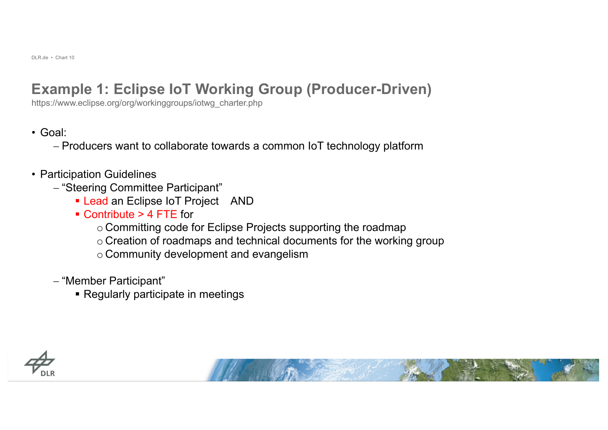## **Example 1: Eclipse IoT Working Group (Producer-Driven)**

https://www.eclipse.org/org/workinggroups/iotwg\_charter.php

• Goal:

- Producers want to collaborate towards a common IoT technology platform

- Participation Guidelines
	- "Steering Committee Participant"
		- Lead an Eclipse IoT Project AND
		- § Contribute > 4 FTE for
			- o Committing code for Eclipse Projects supporting the roadmap
			- o Creation of roadmaps and technical documents for the working group
			- o Community development and evangelism
	- "Member Participant"
		- Regularly participate in meetings



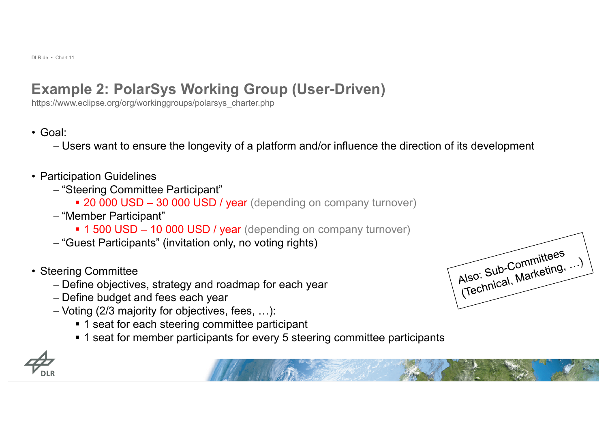# **Example 2: PolarSys Working Group (User-Driven)**

https://www.eclipse.org/org/workinggroups/polarsys\_charter.php

- Goal:
	- Users want to ensure the longevity of a platform and/or influence the direction of its development
- Participation Guidelines
	- "Steering Committee Participant"
		- 20 000 USD 30 000 USD / year (depending on company turnover)
	- "Member Participant"
		- 1 500 USD 10 000 USD / year (depending on company turnover)
	- "Guest Participants" (invitation only, no voting rights)
- Steering Committee
	- Define objectives, strategy and roadmap for each year
	- Define budget and fees each year
	- Voting (2/3 majority for objectives, fees, …):
		- 1 seat for each steering committee participant
		- 1 seat for member participants for every 5 steering committee participants



| Also: Sub-Committees |  |
|----------------------|--|
|                      |  |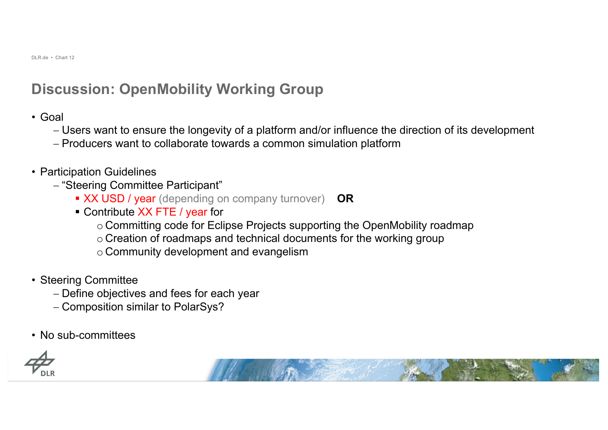#### **Discussion: OpenMobility Working Group**

- Goal
	- Users want to ensure the longevity of a platform and/or influence the direction of its development
	- Producers want to collaborate towards a common simulation platform
- Participation Guidelines
	- "Steering Committee Participant"
		- § XX USD / year (depending on company turnover) **OR**
		- Contribute XX FTE / year for
			- o Committing code for Eclipse Projects supporting the OpenMobility roadmap
			- o Creation of roadmaps and technical documents for the working group
			- o Community development and evangelism
- Steering Committee
	- Define objectives and fees for each year
	- Composition similar to PolarSys?
- No sub-committees